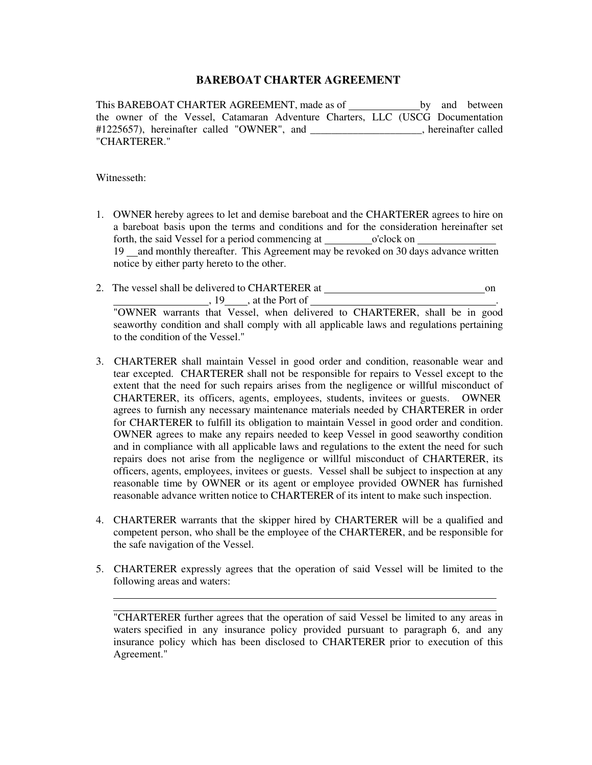## **BAREBOAT CHARTER AGREEMENT**

This BAREBOAT CHARTER AGREEMENT, made as of by and between the owner of the Vessel, Catamaran Adventure Charters, LLC (USCG Documentation #1225657), hereinafter called "OWNER", and \_\_\_\_\_\_\_\_\_\_\_\_\_\_\_\_\_\_\_\_\_, hereinafter called "CHARTERER."

Witnesseth:

- 1. OWNER hereby agrees to let and demise bareboat and the CHARTERER agrees to hire on a bareboat basis upon the terms and conditions and for the consideration hereinafter set forth, the said Vessel for a period commencing at o'clock on 19 and monthly thereafter. This Agreement may be revoked on 30 days advance written notice by either party hereto to the other.
- 2. The vessel shall be delivered to CHARTERER at on  $\frac{19}{19}$ , at the Port of  $\frac{1}{19}$ "OWNER warrants that Vessel, when delivered to CHARTERER, shall be in good

seaworthy condition and shall comply with all applicable laws and regulations pertaining to the condition of the Vessel."

- 3. CHARTERER shall maintain Vessel in good order and condition, reasonable wear and tear excepted. CHARTERER shall not be responsible for repairs to Vessel except to the extent that the need for such repairs arises from the negligence or willful misconduct of CHARTERER, its officers, agents, employees, students, invitees or guests. OWNER agrees to furnish any necessary maintenance materials needed by CHARTERER in order for CHARTERER to fulfill its obligation to maintain Vessel in good order and condition. OWNER agrees to make any repairs needed to keep Vessel in good seaworthy condition and in compliance with all applicable laws and regulations to the extent the need for such repairs does not arise from the negligence or willful misconduct of CHARTERER, its officers, agents, employees, invitees or guests. Vessel shall be subject to inspection at any reasonable time by OWNER or its agent or employee provided OWNER has furnished reasonable advance written notice to CHARTERER of its intent to make such inspection.
- 4. CHARTERER warrants that the skipper hired by CHARTERER will be a qualified and competent person, who shall be the employee of the CHARTERER, and be responsible for the safe navigation of the Vessel.
- 5. CHARTERER expressly agrees that the operation of said Vessel will be limited to the following areas and waters:

"CHARTERER further agrees that the operation of said Vessel be limited to any areas in waters specified in any insurance policy provided pursuant to paragraph 6, and any insurance policy which has been disclosed to CHARTERER prior to execution of this Agreement."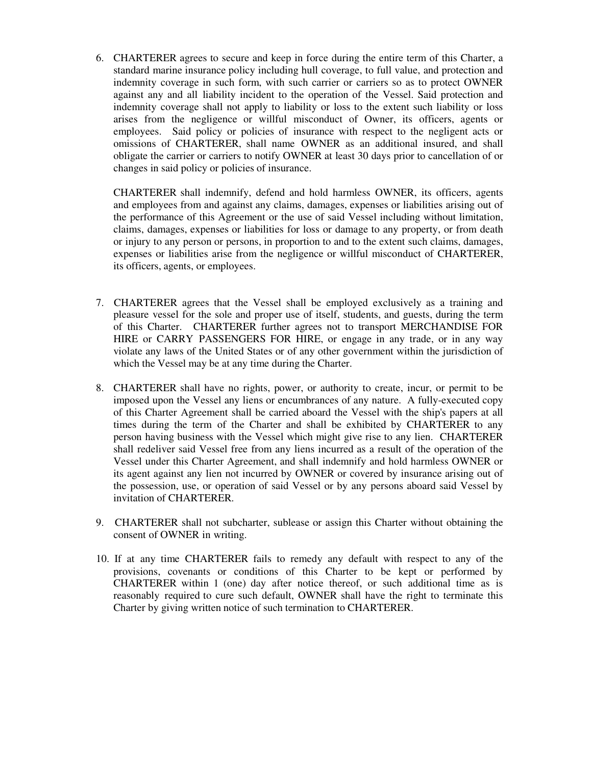6. CHARTERER agrees to secure and keep in force during the entire term of this Charter, a standard marine insurance policy including hull coverage, to full value, and protection and indemnity coverage in such form, with such carrier or carriers so as to protect OWNER against any and all liability incident to the operation of the Vessel. Said protection and indemnity coverage shall not apply to liability or loss to the extent such liability or loss arises from the negligence or willful misconduct of Owner, its officers, agents or employees. Said policy or policies of insurance with respect to the negligent acts or omissions of CHARTERER, shall name OWNER as an additional insured, and shall obligate the carrier or carriers to notify OWNER at least 30 days prior to cancellation of or changes in said policy or policies of insurance.

CHARTERER shall indemnify, defend and hold harmless OWNER, its officers, agents and employees from and against any claims, damages, expenses or liabilities arising out of the performance of this Agreement or the use of said Vessel including without limitation, claims, damages, expenses or liabilities for loss or damage to any property, or from death or injury to any person or persons, in proportion to and to the extent such claims, damages, expenses or liabilities arise from the negligence or willful misconduct of CHARTERER, its officers, agents, or employees.

- 7. CHARTERER agrees that the Vessel shall be employed exclusively as a training and pleasure vessel for the sole and proper use of itself, students, and guests, during the term of this Charter. CHARTERER further agrees not to transport MERCHANDISE FOR HIRE or CARRY PASSENGERS FOR HIRE, or engage in any trade, or in any way violate any laws of the United States or of any other government within the jurisdiction of which the Vessel may be at any time during the Charter.
- 8. CHARTERER shall have no rights, power, or authority to create, incur, or permit to be imposed upon the Vessel any liens or encumbrances of any nature. A fully-executed copy of this Charter Agreement shall be carried aboard the Vessel with the ship's papers at all times during the term of the Charter and shall be exhibited by CHARTERER to any person having business with the Vessel which might give rise to any lien. CHARTERER shall redeliver said Vessel free from any liens incurred as a result of the operation of the Vessel under this Charter Agreement, and shall indemnify and hold harmless OWNER or its agent against any lien not incurred by OWNER or covered by insurance arising out of the possession, use, or operation of said Vessel or by any persons aboard said Vessel by invitation of CHARTERER.
- 9. CHARTERER shall not subcharter, sublease or assign this Charter without obtaining the consent of OWNER in writing.
- 10. If at any time CHARTERER fails to remedy any default with respect to any of the provisions, covenants or conditions of this Charter to be kept or performed by CHARTERER within 1 (one) day after notice thereof, or such additional time as is reasonably required to cure such default, OWNER shall have the right to terminate this Charter by giving written notice of such termination to CHARTERER.